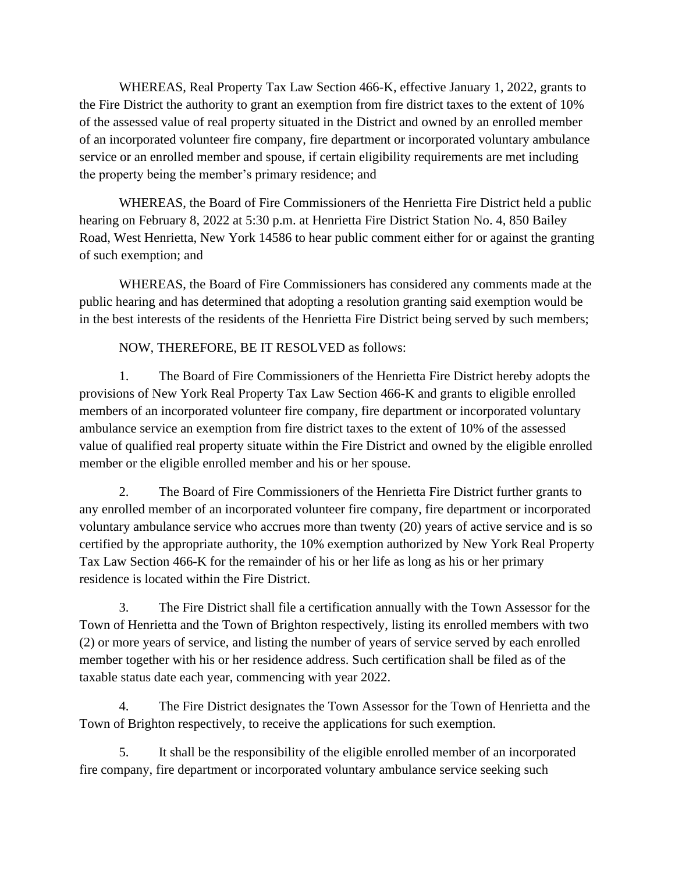WHEREAS, Real Property Tax Law Section 466-K, effective January 1, 2022, grants to the Fire District the authority to grant an exemption from fire district taxes to the extent of 10% of the assessed value of real property situated in the District and owned by an enrolled member of an incorporated volunteer fire company, fire department or incorporated voluntary ambulance service or an enrolled member and spouse, if certain eligibility requirements are met including the property being the member's primary residence; and

WHEREAS, the Board of Fire Commissioners of the Henrietta Fire District held a public hearing on February 8, 2022 at 5:30 p.m. at Henrietta Fire District Station No. 4, 850 Bailey Road, West Henrietta, New York 14586 to hear public comment either for or against the granting of such exemption; and

WHEREAS, the Board of Fire Commissioners has considered any comments made at the public hearing and has determined that adopting a resolution granting said exemption would be in the best interests of the residents of the Henrietta Fire District being served by such members;

NOW, THEREFORE, BE IT RESOLVED as follows:

1. The Board of Fire Commissioners of the Henrietta Fire District hereby adopts the provisions of New York Real Property Tax Law Section 466-K and grants to eligible enrolled members of an incorporated volunteer fire company, fire department or incorporated voluntary ambulance service an exemption from fire district taxes to the extent of 10% of the assessed value of qualified real property situate within the Fire District and owned by the eligible enrolled member or the eligible enrolled member and his or her spouse.

2. The Board of Fire Commissioners of the Henrietta Fire District further grants to any enrolled member of an incorporated volunteer fire company, fire department or incorporated voluntary ambulance service who accrues more than twenty (20) years of active service and is so certified by the appropriate authority, the 10% exemption authorized by New York Real Property Tax Law Section 466-K for the remainder of his or her life as long as his or her primary residence is located within the Fire District.

3. The Fire District shall file a certification annually with the Town Assessor for the Town of Henrietta and the Town of Brighton respectively, listing its enrolled members with two (2) or more years of service, and listing the number of years of service served by each enrolled member together with his or her residence address. Such certification shall be filed as of the taxable status date each year, commencing with year 2022.

4. The Fire District designates the Town Assessor for the Town of Henrietta and the Town of Brighton respectively, to receive the applications for such exemption.

5. It shall be the responsibility of the eligible enrolled member of an incorporated fire company, fire department or incorporated voluntary ambulance service seeking such